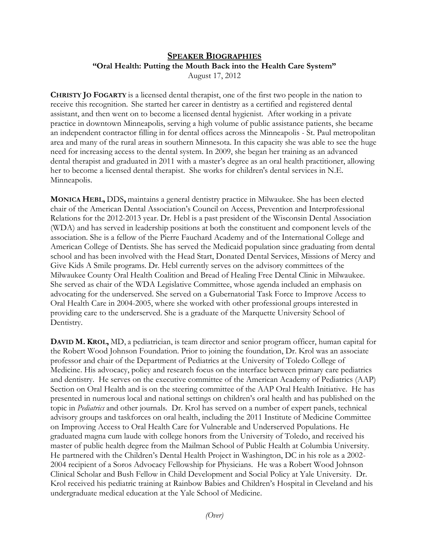## **SPEAKER BIOGRAPHIES "Oral Health: Putting the Mouth Back into the Health Care System"**  August 17, 2012

**CHRISTY JO FOGARTY** is a licensed dental therapist, one of the first two people in the nation to receive this recognition.She started her career in dentistry as a certified and registered dental assistant, and then went on to become a licensed dental hygienist. After working in a private practice in downtown Minneapolis, serving a high volume of public assistance patients, she became an independent contractor filling in for dental offices across the Minneapolis - St. Paul metropolitan area and many of the rural areas in southern Minnesota. In this capacity she was able to see the huge need for increasing access to the dental system. In 2009, she began her training as an advanced dental therapist and graduated in 2011 with a master's degree as an oral health practitioner, allowing her to become a licensed dental therapist. She works for children's dental services in N.E. Minneapolis.

**MONICA HEBL,** DDS**,** maintains a general dentistry practice in Milwaukee. She has been elected chair of the American Dental Association's Council on Access, Prevention and Interprofessional Relations for the 2012-2013 year. Dr. Hebl is a past president of the Wisconsin Dental Association (WDA) and has served in leadership positions at both the constituent and component levels of the association. She is a fellow of the Pierre Fauchard Academy and of the International College and American College of Dentists. She has served the Medicaid population since graduating from dental school and has been involved with the Head Start, Donated Dental Services, Missions of Mercy and Give Kids A Smile programs. Dr. Hebl currently serves on the advisory committees of the Milwaukee County Oral Health Coalition and Bread of Healing Free Dental Clinic in Milwaukee. She served as chair of the WDA Legislative Committee, whose agenda included an emphasis on advocating for the underserved. She served on a Gubernatorial Task Force to Improve Access to Oral Health Care in 2004-2005, where she worked with other professional groups interested in providing care to the underserved. She is a graduate of the Marquette University School of Dentistry.

**DAVID M. KROL,** MD, a pediatrician, is team director and senior program officer, human capital for the Robert Wood Johnson Foundation. Prior to joining the foundation, Dr. Krol was an associate professor and chair of the Department of Pediatrics at the University of Toledo College of Medicine. His advocacy, policy and research focus on the interface between primary care pediatrics and dentistry. He serves on the executive committee of the American Academy of Pediatrics (AAP) Section on Oral Health and is on the steering committee of the AAP Oral Health Initiative. He has presented in numerous local and national settings on children's oral health and has published on the topic in *Pediatrics* and other journals. Dr. Krol has served on a number of expert panels, technical advisory groups and taskforces on oral health, including the 2011 Institute of Medicine Committee on Improving Access to Oral Health Care for Vulnerable and Underserved Populations. He graduated magna cum laude with college honors from the University of Toledo, and received his master of public health degree from the Mailman School of Public Health at Columbia University. He partnered with the Children's Dental Health Project in Washington, DC in his role as a 2002- 2004 recipient of a Soros Advocacy Fellowship for Physicians. He was a Robert Wood Johnson Clinical Scholar and Bush Fellow in Child Development and Social Policy at Yale University. Dr. Krol received his pediatric training at Rainbow Babies and Children's Hospital in Cleveland and his undergraduate medical education at the Yale School of Medicine.